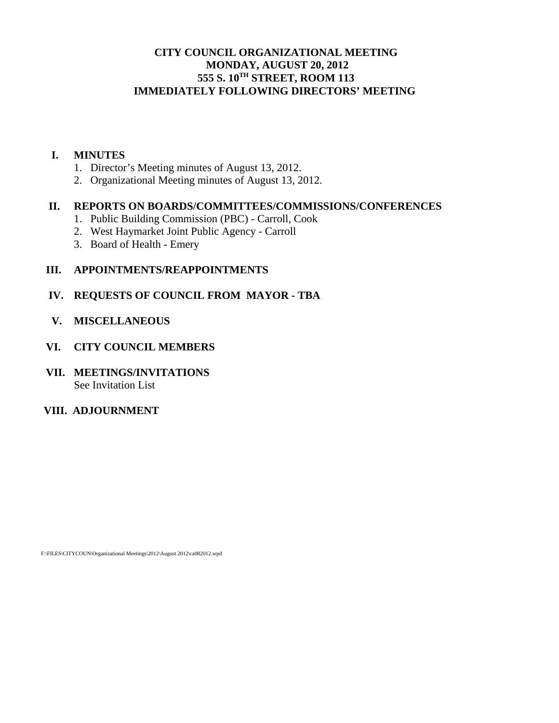## **CITY COUNCIL ORGANIZATIONAL MEETING MONDAY, AUGUST 20, 2012 555 S. 10TH STREET, ROOM 113 IMMEDIATELY FOLLOWING DIRECTORS' MEETING**

## **I. MINUTES**

- 1. Director's Meeting minutes of August 13, 2012.
- 2. Organizational Meeting minutes of August 13, 2012.

### **II. REPORTS ON BOARDS/COMMITTEES/COMMISSIONS/CONFERENCES**

- 1. Public Building Commission (PBC) Carroll, Cook
- 2. West Haymarket Joint Public Agency Carroll
- 3. Board of Health Emery

## **III. APPOINTMENTS/REAPPOINTMENTS**

## **IV. REQUESTS OF COUNCIL FROM MAYOR - TBA**

 **V. MISCELLANEOUS** 

## **VI. CITY COUNCIL MEMBERS**

**VII. MEETINGS/INVITATIONS**  See Invitation List

## **VIII. ADJOURNMENT**

F:\FILES\CITYCOUN\Organizational Meetings\2012\August 2012\ca082012.wpd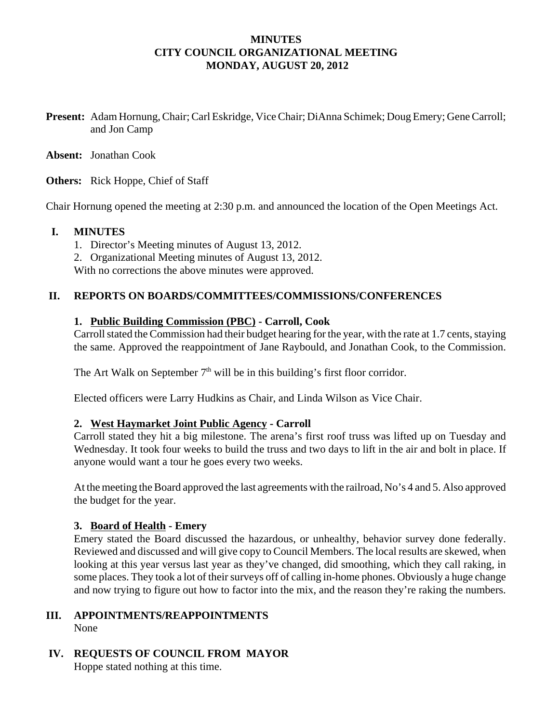## **MINUTES CITY COUNCIL ORGANIZATIONAL MEETING MONDAY, AUGUST 20, 2012**

**Present:** Adam Hornung, Chair; Carl Eskridge, Vice Chair; DiAnna Schimek; Doug Emery; Gene Carroll; and Jon Camp

**Absent:** Jonathan Cook

**Others:** Rick Hoppe, Chief of Staff

Chair Hornung opened the meeting at 2:30 p.m. and announced the location of the Open Meetings Act.

#### **I. MINUTES**

- 1. Director's Meeting minutes of August 13, 2012.
- 2. Organizational Meeting minutes of August 13, 2012.

With no corrections the above minutes were approved.

### **II. REPORTS ON BOARDS/COMMITTEES/COMMISSIONS/CONFERENCES**

#### **1. Public Building Commission (PBC) - Carroll, Cook**

Carroll stated the Commission had their budget hearing for the year, with the rate at 1.7 cents, staying the same. Approved the reappointment of Jane Raybould, and Jonathan Cook, to the Commission.

The Art Walk on September  $7<sup>th</sup>$  will be in this building's first floor corridor.

Elected officers were Larry Hudkins as Chair, and Linda Wilson as Vice Chair.

### **2. West Haymarket Joint Public Agency - Carroll**

Carroll stated they hit a big milestone. The arena's first roof truss was lifted up on Tuesday and Wednesday. It took four weeks to build the truss and two days to lift in the air and bolt in place. If anyone would want a tour he goes every two weeks.

At the meeting the Board approved the last agreements with the railroad, No's 4 and 5. Also approved the budget for the year.

### **3. Board of Health - Emery**

Emery stated the Board discussed the hazardous, or unhealthy, behavior survey done federally. Reviewed and discussed and will give copy to Council Members. The local results are skewed, when looking at this year versus last year as they've changed, did smoothing, which they call raking, in some places. They took a lot of their surveys off of calling in-home phones. Obviously a huge change and now trying to figure out how to factor into the mix, and the reason they're raking the numbers.

#### **III. APPOINTMENTS/REAPPOINTMENTS** None

 **IV. REQUESTS OF COUNCIL FROM MAYOR**

Hoppe stated nothing at this time.